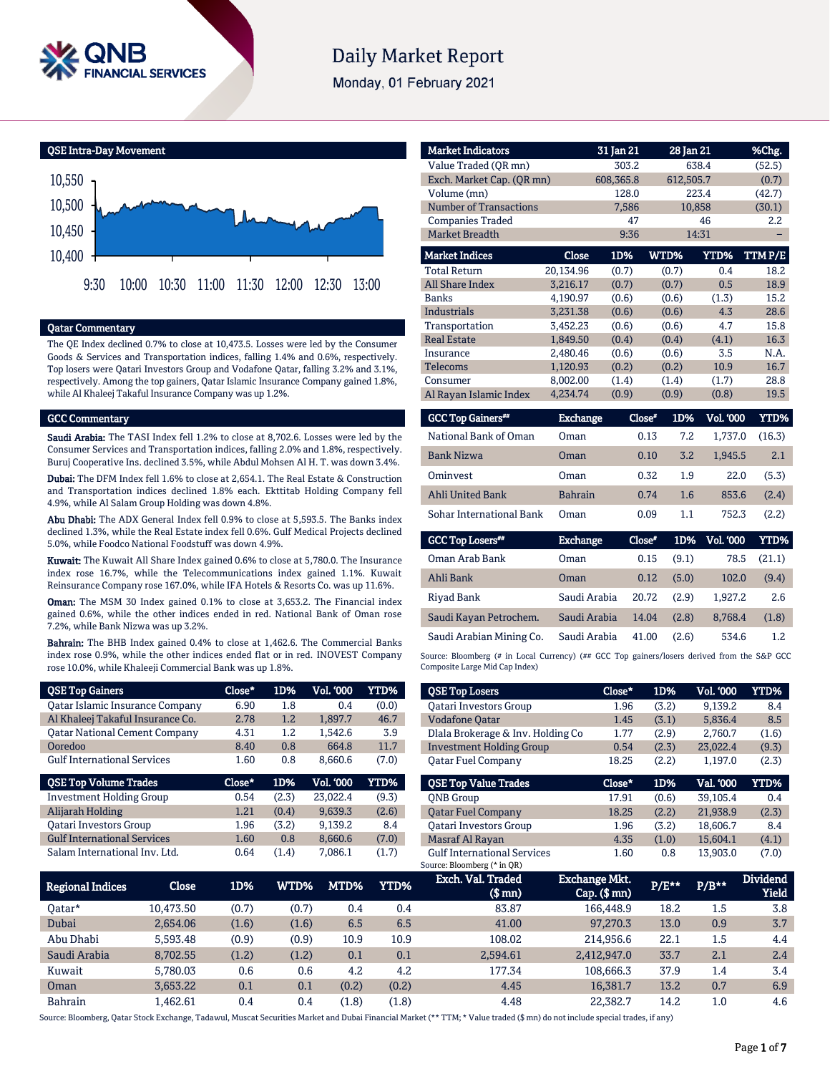

# **Daily Market Report**

Monday, 01 February 2021

QSE Intra-Day Movement



#### Qatar Commentary

The QE Index declined 0.7% to close at 10,473.5. Losses were led by the Consumer Goods & Services and Transportation indices, falling 1.4% and 0.6%, respectively. Top losers were Qatari Investors Group and Vodafone Qatar, falling 3.2% and 3.1%, respectively. Among the top gainers, Qatar Islamic Insurance Company gained 1.8%, while Al Khaleej Takaful Insurance Company was up 1.2%.

#### GCC Commentary

Saudi Arabia: The TASI Index fell 1.2% to close at 8,702.6. Losses were led by the Consumer Services and Transportation indices, falling 2.0% and 1.8%, respectively. Buruj Cooperative Ins. declined 3.5%, while Abdul Mohsen Al H. T. was down 3.4%.

Dubai: The DFM Index fell 1.6% to close at 2,654.1. The Real Estate & Construction and Transportation indices declined 1.8% each. Ekttitab Holding Company fell 4.9%, while Al Salam Group Holding was down 4.8%.

Abu Dhabi: The ADX General Index fell 0.9% to close at 5,593.5. The Banks index declined 1.3%, while the Real Estate index fell 0.6%. Gulf Medical Projects declined 5.0%, while Foodco National Foodstuff was down 4.9%.

Kuwait: The Kuwait All Share Index gained 0.6% to close at 5,780.0. The Insurance index rose 16.7%, while the Telecommunications index gained 1.1%. Kuwait Reinsurance Company rose 167.0%, while IFA Hotels & Resorts Co. was up 11.6%.

Oman: The MSM 30 Index gained 0.1% to close at 3,653.2. The Financial index gained 0.6%, while the other indices ended in red. National Bank of Oman rose 7.2%, while Bank Nizwa was up 3.2%.

Bahrain: The BHB Index gained 0.4% to close at 1,462.6. The Commercial Banks index rose 0.9%, while the other indices ended flat or in red. INOVEST Company rose 10.0%, while Khaleeji Commercial Bank was up 1.8%.

| <b>QSE Top Gainers</b>                 | $Close*$ | 1D%   | <b>Vol. '000</b> | <b>YTD%</b> |
|----------------------------------------|----------|-------|------------------|-------------|
| <b>Qatar Islamic Insurance Company</b> | 6.90     | 1.8   | 0.4              | (0.0)       |
| Al Khaleej Takaful Insurance Co.       | 2.78     | 1.2   | 1.897.7          | 46.7        |
| <b>Qatar National Cement Company</b>   | 4.31     | 1.2   | 1.542.6          | 3.9         |
| Ooredoo                                | 8.40     | 0.8   | 664.8            | 11.7        |
| <b>Gulf International Services</b>     | 1.60     | 0.8   | 8.660.6          | (7.0)       |
|                                        |          |       |                  |             |
| <b>QSE Top Volume Trades</b>           | Close*   | 1D%   | <b>Vol. '000</b> | <b>YTD%</b> |
| <b>Investment Holding Group</b>        | 0.54     | (2.3) | 23.022.4         | (9.3)       |
| Alijarah Holding                       | 1.21     | (0.4) | 9.639.3          | (2.6)       |
| <b>Qatari Investors Group</b>          | 1.96     | (3.2) | 9.139.2          | 8.4         |
| <b>Gulf International Services</b>     | 1.60     | 0.8   | 8,660.6          | (7.0)       |

| <b>Market Indicators</b>  |           | 31 Jan 21 | 28 Jan 21 |        | %Chg.  |
|---------------------------|-----------|-----------|-----------|--------|--------|
|                           |           |           |           |        |        |
| Value Traded (OR mn)      |           | 303.2     |           | 638.4  | (52.5) |
| Exch. Market Cap. (QR mn) |           | 608,365.8 | 612,505.7 |        | (0.7)  |
| Volume (mn)               |           | 128.0     |           | 223.4  | (42.7) |
| Number of Transactions    |           | 7,586     |           | 10,858 | (30.1) |
| <b>Companies Traded</b>   |           | 47        |           | 46     | 2.2    |
| <b>Market Breadth</b>     |           | 9:36      |           | 14:31  |        |
| <b>Market Indices</b>     | Close     | 1D%       | WTD%      | YTD%   | TTMP/E |
| <b>Total Return</b>       | 20,134.96 | (0.7)     | (0.7)     | 0.4    | 18.2   |
| All Share Index           | 3,216.17  | (0.7)     | (0.7)     | 0.5    | 18.9   |
| <b>Banks</b>              | 4,190.97  | (0.6)     | (0.6)     | (1.3)  | 15.2   |
| Industrials               | 3,231.38  | (0.6)     | (0.6)     | 4.3    | 28.6   |
| Transportation            | 3,452.23  | (0.6)     | (0.6)     | 4.7    | 15.8   |
| <b>Real Estate</b>        | 1,849.50  | (0.4)     | (0.4)     | (4.1)  | 16.3   |
| Insurance                 | 2,480.46  | (0.6)     | (0.6)     | 3.5    | N.A.   |
| <b>Telecoms</b>           | 1,120.93  | (0.2)     | (0.2)     | 10.9   | 16.7   |
| Consumer                  | 8,002.00  | (1.4)     | (1.4)     | (1.7)  | 28.8   |
| Al Rayan Islamic Index    | 4,234.74  | (0.9)     | (0.9)     | (0.8)  | 19.5   |

| <b>GCC Top Gainers**</b> | <b>Exchange</b> | Close* | 1D% | <b>Vol. '000</b> | YTD%   |
|--------------------------|-----------------|--------|-----|------------------|--------|
| National Bank of Oman    | Oman            | 0.13   | 7.2 | 1.737.0          | (16.3) |
| <b>Bank Nizwa</b>        | Oman            | 0.10   | 3.2 | 1.945.5          | 2.1    |
| Ominyest                 | Oman            | 0.32   | 1.9 | 22.0             | (5.3)  |
| <b>Ahli United Bank</b>  | <b>Bahrain</b>  | 0.74   | 1.6 | 853.6            | (2.4)  |
| Sohar International Bank | Oman            | 0.09   | 1.1 | 752.3            | (2.2)  |

| <b>GCC Top Losers</b>    | <b>Exchange</b> | Close* | 1D%   | <b>Vol. '000</b> | YTD%   |
|--------------------------|-----------------|--------|-------|------------------|--------|
| Oman Arab Bank           | Oman            | 0.15   | (9.1) | 78.5             | (21.1) |
| Ahli Bank                | Oman            | 0.12   | (5.0) | 102.0            | (9.4)  |
| Rivad Bank               | Saudi Arabia    | 20.72  | (2.9) | 1.927.2          | 2.6    |
| Saudi Kayan Petrochem.   | Saudi Arabia    | 14.04  | (2.8) | 8.768.4          | (1.8)  |
| Saudi Arabian Mining Co. | Saudi Arabia    | 41.00  | (2.6) | 534.6            | 1.2    |

Source: Bloomberg (# in Local Currency) (## GCC Top gainers/losers derived from the S&P GCC Composite Large Mid Cap Index)

| <b>QSE Top Losers</b>             | Close* | 1D%   | <b>Vol. '000</b> | YTD%  |
|-----------------------------------|--------|-------|------------------|-------|
| <b>Oatari Investors Group</b>     | 1.96   | (3.2) | 9.139.2          | 8.4   |
| <b>Vodafone Qatar</b>             | 1.45   | (3.1) | 5.836.4          | 8.5   |
| Dlala Brokerage & Inv. Holding Co | 1.77   | (2.9) | 2,760.7          | (1.6) |
| <b>Investment Holding Group</b>   | 0.54   | (2.3) | 23.022.4         | (9.3) |
| Oatar Fuel Company                | 18.25  | (2.2) | 1.197.0          | (2.3) |
|                                   |        |       |                  |       |
| <b>OSE Top Value Trades</b>       | Close* | 1D%   | Val. '000        | YTD%  |
| <b>ONB</b> Group                  | 17.91  | (0.6) | 39.105.4         | 0.4   |
| <b>Oatar Fuel Company</b>         | 18.25  | (2.2) | 21,938.9         | (2.3) |
| <b>Oatari Investors Group</b>     | 1.96   | (3.2) | 18,606.7         | 8.4   |
| Masraf Al Rayan                   | 4.35   | (1.0) | 15,604.1         | (4.1) |

| <b>Regional Indices</b> | Close     | 1D%   | WTD%  | MTD%  | YTD%  | Exch. Val. Traded<br>$$$ mn $)$ | Exchange Mkt.<br>$Cap.$ (\$ mn) | $P/E***$ | $P/B***$ | <b>Dividend</b><br><b>Yield</b> |
|-------------------------|-----------|-------|-------|-------|-------|---------------------------------|---------------------------------|----------|----------|---------------------------------|
| Oatar*                  | 10.473.50 | (0.7) | (0.7) | 0.4   | 0.4   | 83.87                           | 166,448.9                       | 18.2     | 1.5      | 3.8                             |
| Dubai                   | 2.654.06  | (1.6) | (1.6) | 6.5   | 6.5   | 41.00                           | 97,270.3                        | 13.0     | 0.9      | 3.7                             |
| Abu Dhabi               | 5.593.48  | (0.9) | (0.9) | 10.9  | 10.9  | 108.02                          | 214.956.6                       | 22.1     | 1.5      | 4.4                             |
| Saudi Arabia            | 8.702.55  | (1.2) | (1.2) | 0.1   | 0.1   | 2.594.61                        | 2.412.947.0                     | 33.7     | 2.1      | 2.4                             |
| Kuwait                  | 5.780.03  | 0.6   | 0.6   | 4.2   | 4.2   | 177.34                          | 108.666.3                       | 37.9     | 1.4      | 3.4                             |
| Oman                    | 3.653.22  | 0.1   | 0.1   | (0.2) | (0.2) | 4.45                            | 16.381.7                        | 13.2     | 0.7      | 6.9                             |
| <b>Bahrain</b>          | .462.61   | 0.4   | 0.4   | (1.8) | (1.8) | 4.48                            | 22.382.7                        | 14.2     | 1.0      | 4.6                             |

Source: Bloomberg, Qatar Stock Exchange, Tadawul, Muscat Securities Market and Dubai Financial Market (\*\* TTM; \* Value traded (\$ mn) do not include special trades, if any)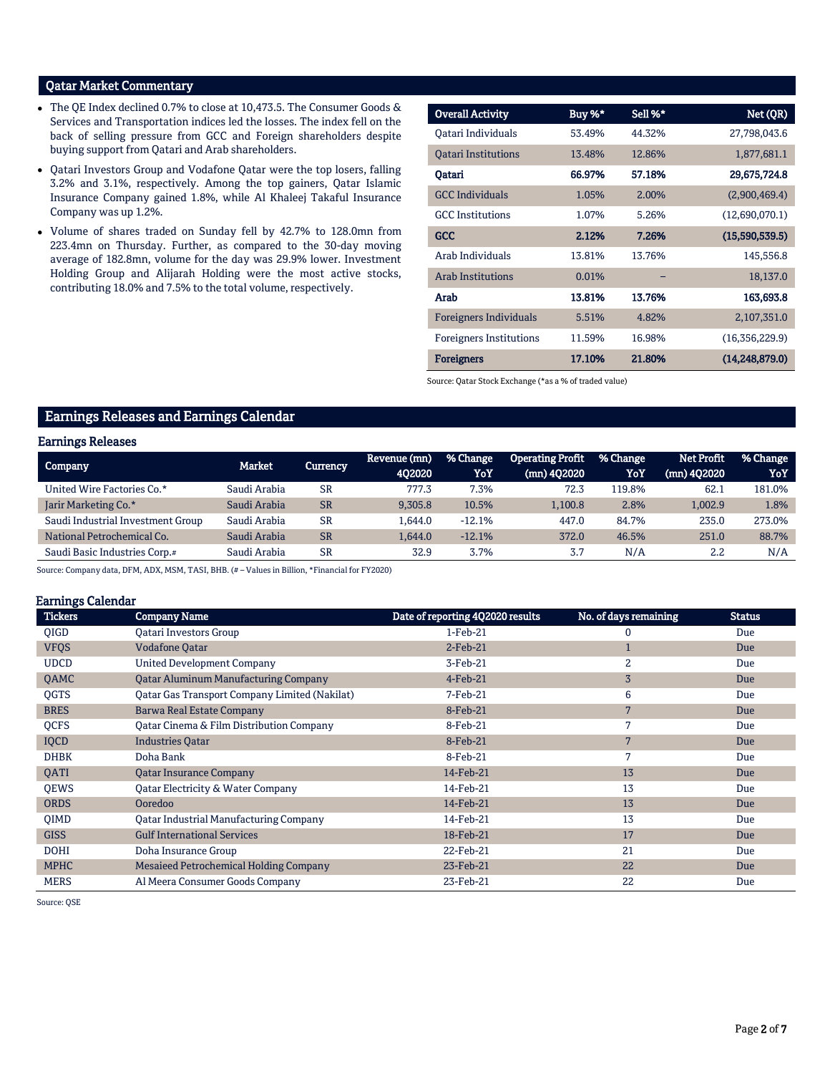# Qatar Market Commentary

- The QE Index declined 0.7% to close at 10,473.5. The Consumer Goods & Services and Transportation indices led the losses. The index fell on the back of selling pressure from GCC and Foreign shareholders despite buying support from Qatari and Arab shareholders.
- Qatari Investors Group and Vodafone Qatar were the top losers, falling 3.2% and 3.1%, respectively. Among the top gainers, Qatar Islamic Insurance Company gained 1.8%, while Al Khaleej Takaful Insurance Company was up 1.2%.
- Volume of shares traded on Sunday fell by 42.7% to 128.0mn from 223.4mn on Thursday. Further, as compared to the 30-day moving average of 182.8mn, volume for the day was 29.9% lower. Investment Holding Group and Alijarah Holding were the most active stocks, contributing 18.0% and 7.5% to the total volume, respectively.

| <b>Overall Activity</b>        | Buy %* | Sell %* | Net (QR)         |
|--------------------------------|--------|---------|------------------|
| Oatari Individuals             | 53.49% | 44.32%  | 27,798,043.6     |
| <b>Oatari Institutions</b>     | 13.48% | 12.86%  | 1,877,681.1      |
| Qatari                         | 66.97% | 57.18%  | 29,675,724.8     |
| <b>GCC</b> Individuals         | 1.05%  | 2.00%   | (2,900,469.4)    |
| <b>GCC</b> Institutions        | 1.07%  | 5.26%   | (12,690,070.1)   |
| <b>GCC</b>                     | 2.12%  | 7.26%   | (15,590,539.5)   |
| Arab Individuals               | 13.81% | 13.76%  | 145,556.8        |
| <b>Arab Institutions</b>       | 0.01%  |         | 18,137.0         |
| Arab                           | 13.81% | 13.76%  | 163,693.8        |
| Foreigners Individuals         | 5.51%  | 4.82%   | 2,107,351.0      |
| <b>Foreigners Institutions</b> | 11.59% | 16.98%  | (16,356,229.9)   |
| <b>Foreigners</b>              | 17.10% | 21.80%  | (14, 248, 879.0) |

Source: Qatar Stock Exchange (\*as a % of traded value)

# Earnings Releases and Earnings Calendar

#### Earnings Releases

| Company                           | Market       | Currency  | Revenue (mn)<br>402020 | % Change<br>YoY | <b>Operating Profit</b><br>(mn) 402020 | % Change<br>YoY | <b>Net Profit</b><br>$(mn)$ 402020 | % Change<br>YoY |
|-----------------------------------|--------------|-----------|------------------------|-----------------|----------------------------------------|-----------------|------------------------------------|-----------------|
|                                   |              |           |                        |                 |                                        |                 |                                    |                 |
| United Wire Factories Co.*        | Saudi Arabia | <b>SR</b> | 777.3                  | 7.3%            | 72.3                                   | 119.8%          | 62.1                               | 181.0%          |
| Jarir Marketing Co.*              | Saudi Arabia | <b>SR</b> | 9.305.8                | 10.5%           | 1.100.8                                | 2.8%            | 1.002.9                            | 1.8%            |
| Saudi Industrial Investment Group | Saudi Arabia | <b>SR</b> | 1.644.0                | $-12.1%$        | 447.0                                  | 84.7%           | 235.0                              | 273.0%          |
| National Petrochemical Co.        | Saudi Arabia | <b>SR</b> | 1.644.0                | $-12.1%$        | 372.0                                  | 46.5%           | 251.0                              | 88.7%           |
| Saudi Basic Industries Corp.#     | Saudi Arabia | <b>SR</b> | 32.9                   | 3.7%            | 3.7                                    | N/A             | 2.2                                | N/A             |

Source: Company data, DFM, ADX, MSM, TASI, BHB. (# – Values in Billion, \*Financial for FY2020)

#### Earnings Calendar

| <b>Tickers</b> | <b>Company Name</b>                                  | Date of reporting 4Q2020 results | No. of days remaining | <b>Status</b> |
|----------------|------------------------------------------------------|----------------------------------|-----------------------|---------------|
| <b>OIGD</b>    | <b>Oatari Investors Group</b>                        | $1-Feb-21$                       | 0                     | Due           |
| <b>VFQS</b>    | <b>Vodafone Qatar</b>                                | $2$ -Feb-21                      | $\mathbf{1}$          | Due           |
| <b>UDCD</b>    | <b>United Development Company</b>                    | 3-Feb-21                         | $\overline{2}$        | Due           |
| QAMC           | <b>Qatar Aluminum Manufacturing Company</b>          | $4$ -Feb-21                      | $\overline{3}$        | Due           |
| <b>OGTS</b>    | <b>Qatar Gas Transport Company Limited (Nakilat)</b> | 7-Feb-21                         | 6                     | Due           |
| <b>BRES</b>    | <b>Barwa Real Estate Company</b>                     | 8-Feb-21                         | 7                     | Due           |
| QCFS           | Qatar Cinema & Film Distribution Company             | 8-Feb-21                         | 7                     | Due           |
| <b>IQCD</b>    | <b>Industries Qatar</b>                              | 8-Feb-21                         | 7                     | Due           |
| <b>DHBK</b>    | Doha Bank                                            | 8-Feb-21                         | 7                     | Due           |
| QATI           | <b>Qatar Insurance Company</b>                       | 14-Feb-21                        | 13                    | Due           |
| QEWS           | Qatar Electricity & Water Company                    | 14-Feb-21                        | 13                    | Due           |
| <b>ORDS</b>    | Ooredoo                                              | 14-Feb-21                        | 13                    | Due           |
| <b>OIMD</b>    | <b>Qatar Industrial Manufacturing Company</b>        | 14-Feb-21                        | 13                    | Due           |
| <b>GISS</b>    | <b>Gulf International Services</b>                   | 18-Feb-21                        | 17                    | Due           |
| <b>DOHI</b>    | Doha Insurance Group                                 | 22-Feb-21                        | 21                    | Due           |
| <b>MPHC</b>    | Mesaieed Petrochemical Holding Company               | 23-Feb-21                        | 22                    | Due           |
| <b>MERS</b>    | Al Meera Consumer Goods Company                      | 23-Feb-21                        | 22                    | Due           |

Source: QSE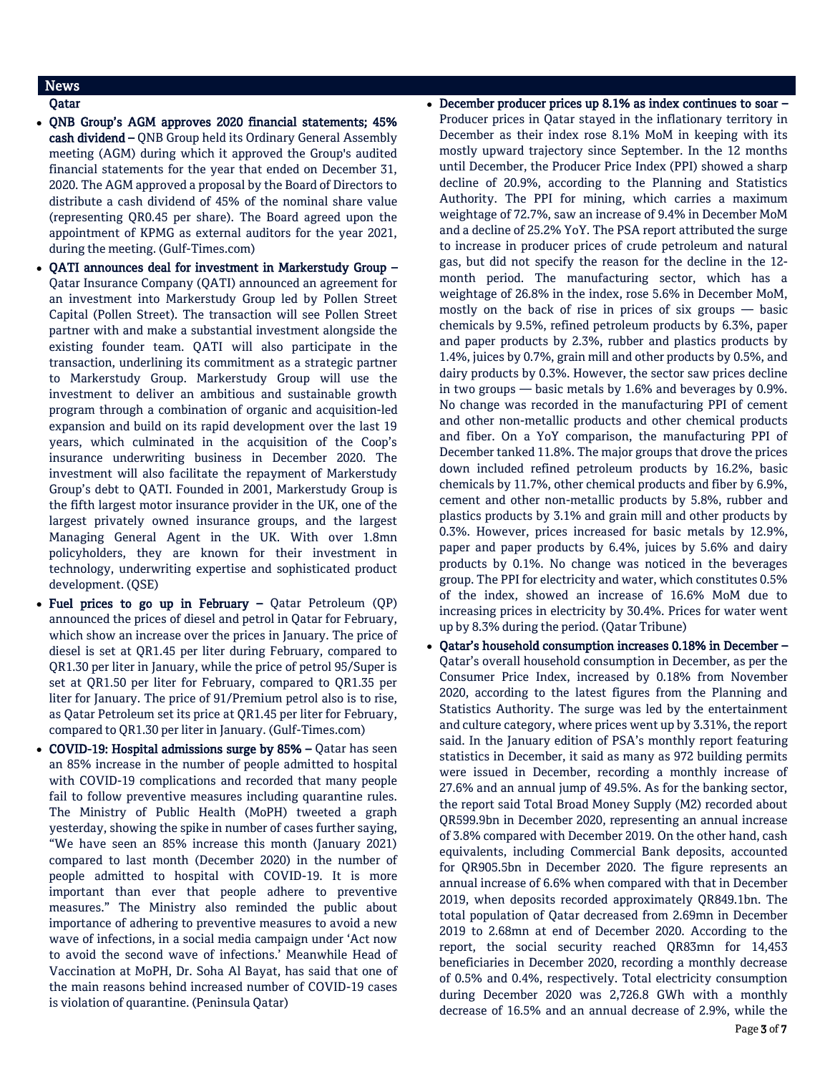# News

## Qatar

- QNB Group's AGM approves 2020 financial statements; 45% cash dividend - QNB Group held its Ordinary General Assembly meeting (AGM) during which it approved the Group's audited financial statements for the year that ended on December 31, 2020. The AGM approved a proposal by the Board of Directors to distribute a cash dividend of 45% of the nominal share value (representing QR0.45 per share). The Board agreed upon the appointment of KPMG as external auditors for the year 2021, during the meeting. (Gulf-Times.com)
- QATI announces deal for investment in Markerstudy Group Qatar Insurance Company (QATI) announced an agreement for an investment into Markerstudy Group led by Pollen Street Capital (Pollen Street). The transaction will see Pollen Street partner with and make a substantial investment alongside the existing founder team. QATI will also participate in the transaction, underlining its commitment as a strategic partner to Markerstudy Group. Markerstudy Group will use the investment to deliver an ambitious and sustainable growth program through a combination of organic and acquisition-led expansion and build on its rapid development over the last 19 years, which culminated in the acquisition of the Coop's insurance underwriting business in December 2020. The investment will also facilitate the repayment of Markerstudy Group's debt to QATI. Founded in 2001, Markerstudy Group is the fifth largest motor insurance provider in the UK, one of the largest privately owned insurance groups, and the largest Managing General Agent in the UK. With over 1.8mn policyholders, they are known for their investment in technology, underwriting expertise and sophisticated product development. (QSE)
- Fuel prices to go up in February Qatar Petroleum (QP) announced the prices of diesel and petrol in Qatar for February, which show an increase over the prices in January. The price of diesel is set at QR1.45 per liter during February, compared to QR1.30 per liter in January, while the price of petrol 95/Super is set at QR1.50 per liter for February, compared to QR1.35 per liter for January. The price of 91/Premium petrol also is to rise, as Qatar Petroleum set its price at QR1.45 per liter for February, compared to QR1.30 per liter in January. (Gulf-Times.com)
- COVID-19: Hospital admissions surge by 85% Qatar has seen an 85% increase in the number of people admitted to hospital with COVID-19 complications and recorded that many people fail to follow preventive measures including quarantine rules. The Ministry of Public Health (MoPH) tweeted a graph yesterday, showing the spike in number of cases further saying, "We have seen an 85% increase this month (January 2021) compared to last month (December 2020) in the number of people admitted to hospital with COVID-19. It is more important than ever that people adhere to preventive measures." The Ministry also reminded the public about importance of adhering to preventive measures to avoid a new wave of infections, in a social media campaign under 'Act now to avoid the second wave of infections.' Meanwhile Head of Vaccination at MoPH, Dr. Soha Al Bayat, has said that one of the main reasons behind increased number of COVID-19 cases is violation of quarantine. (Peninsula Qatar)

# December producer prices up 8.1% as index continues to soar – Producer prices in Qatar stayed in the inflationary territory in December as their index rose 8.1% MoM in keeping with its mostly upward trajectory since September. In the 12 months until December, the Producer Price Index (PPI) showed a sharp decline of 20.9%, according to the Planning and Statistics Authority. The PPI for mining, which carries a maximum weightage of 72.7%, saw an increase of 9.4% in December MoM and a decline of 25.2% YoY. The PSA report attributed the surge to increase in producer prices of crude petroleum and natural gas, but did not specify the reason for the decline in the 12 month period. The manufacturing sector, which has a weightage of 26.8% in the index, rose 5.6% in December MoM, mostly on the back of rise in prices of six groups — basic chemicals by 9.5%, refined petroleum products by 6.3%, paper and paper products by 2.3%, rubber and plastics products by 1.4%, juices by 0.7%, grain mill and other products by 0.5%, and dairy products by 0.3%. However, the sector saw prices decline in two groups — basic metals by 1.6% and beverages by 0.9%. No change was recorded in the manufacturing PPI of cement and other non-metallic products and other chemical products and fiber. On a YoY comparison, the manufacturing PPI of December tanked 11.8%. The major groups that drove the prices down included refined petroleum products by 16.2%, basic chemicals by 11.7%, other chemical products and fiber by 6.9%, cement and other non-metallic products by 5.8%, rubber and plastics products by 3.1% and grain mill and other products by 0.3%. However, prices increased for basic metals by 12.9%, paper and paper products by 6.4%, juices by 5.6% and dairy products by 0.1%. No change was noticed in the beverages group. The PPI for electricity and water, which constitutes 0.5% of the index, showed an increase of 16.6% MoM due to increasing prices in electricity by 30.4%. Prices for water went up by 8.3% during the period. (Qatar Tribune)

 Qatar's household consumption increases 0.18% in December – Qatar's overall household consumption in December, as per the Consumer Price Index, increased by 0.18% from November 2020, according to the latest figures from the Planning and Statistics Authority. The surge was led by the entertainment and culture category, where prices went up by 3.31%, the report said. In the January edition of PSA's monthly report featuring statistics in December, it said as many as 972 building permits were issued in December, recording a monthly increase of 27.6% and an annual jump of 49.5%. As for the banking sector, the report said Total Broad Money Supply (M2) recorded about QR599.9bn in December 2020, representing an annual increase of 3.8% compared with December 2019. On the other hand, cash equivalents, including Commercial Bank deposits, accounted for QR905.5bn in December 2020. The figure represents an annual increase of 6.6% when compared with that in December 2019, when deposits recorded approximately QR849.1bn. The total population of Qatar decreased from 2.69mn in December 2019 to 2.68mn at end of December 2020. According to the report, the social security reached QR83mn for 14,453 beneficiaries in December 2020, recording a monthly decrease of 0.5% and 0.4%, respectively. Total electricity consumption during December 2020 was 2,726.8 GWh with a monthly decrease of 16.5% and an annual decrease of 2.9%, while the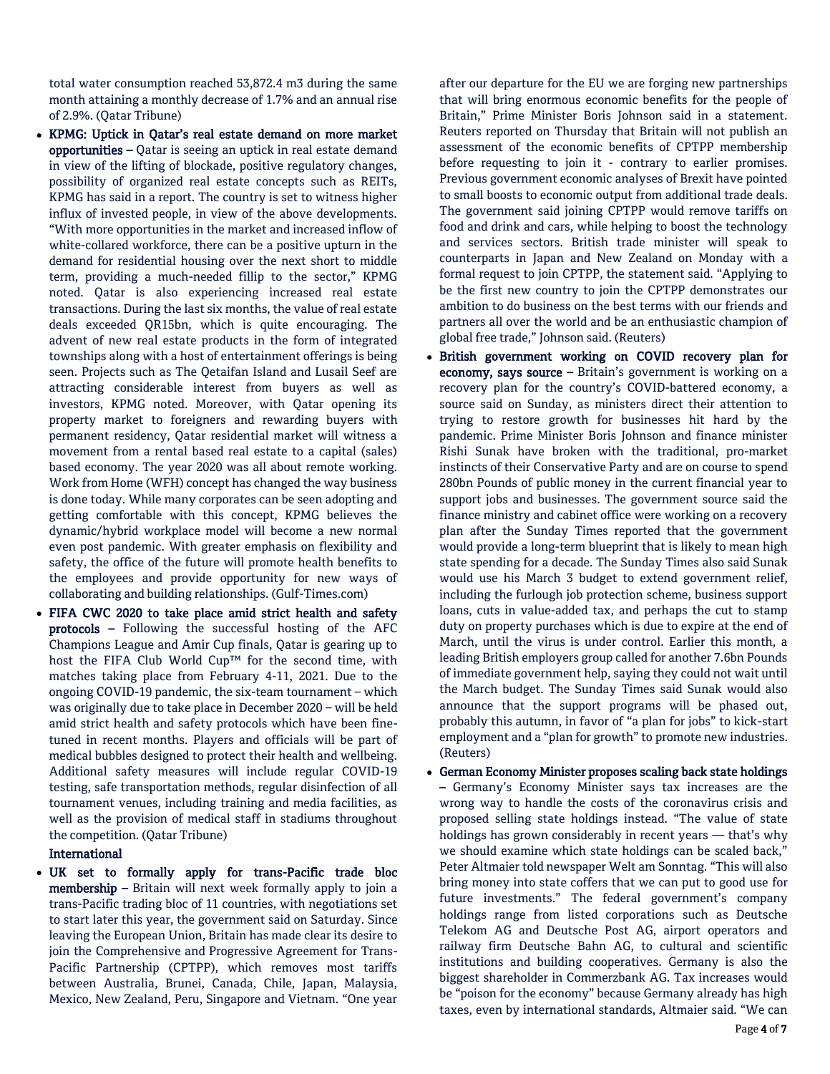total water consumption reached 53,872.4 m3 during the same month attaining a monthly decrease of 1.7% and an annual rise of 2.9%. (Qatar Tribune)

- KPMG: Uptick in Qatar's real estate demand on more market opportunities – Qatar is seeing an uptick in real estate demand in view of the lifting of blockade, positive regulatory changes, possibility of organized real estate concepts such as REITs, KPMG has said in a report. The country is set to witness higher influx of invested people, in view of the above developments. "With more opportunities in the market and increased inflow of white-collared workforce, there can be a positive upturn in the demand for residential housing over the next short to middle term, providing a much-needed fillip to the sector," KPMG noted. Qatar is also experiencing increased real estate transactions. During the last six months, the value of real estate deals exceeded QR15bn, which is quite encouraging. The advent of new real estate products in the form of integrated townships along with a host of entertainment offerings is being seen. Projects such as The Qetaifan Island and Lusail Seef are attracting considerable interest from buyers as well as investors, KPMG noted. Moreover, with Qatar opening its property market to foreigners and rewarding buyers with permanent residency, Qatar residential market will witness a movement from a rental based real estate to a capital (sales) based economy. The year 2020 was all about remote working. Work from Home (WFH) concept has changed the way business is done today. While many corporates can be seen adopting and getting comfortable with this concept, KPMG believes the dynamic/hybrid workplace model will become a new normal even post pandemic. With greater emphasis on flexibility and safety, the office of the future will promote health benefits to the employees and provide opportunity for new ways of collaborating and building relationships. (Gulf-Times.com)
- FIFA CWC 2020 to take place amid strict health and safety protocols – Following the successful hosting of the AFC Champions League and Amir Cup finals, Qatar is gearing up to host the FIFA Club World Cup™ for the second time, with matches taking place from February 4-11, 2021. Due to the ongoing COVID-19 pandemic, the six-team tournament – which was originally due to take place in December 2020 – will be held amid strict health and safety protocols which have been finetuned in recent months. Players and officials will be part of medical bubbles designed to protect their health and wellbeing. Additional safety measures will include regular COVID-19 testing, safe transportation methods, regular disinfection of all tournament venues, including training and media facilities, as well as the provision of medical staff in stadiums throughout the competition. (Qatar Tribune)

#### International

 UK set to formally apply for trans-Pacific trade bloc membership – Britain will next week formally apply to join a trans-Pacific trading bloc of 11 countries, with negotiations set to start later this year, the government said on Saturday. Since leaving the European Union, Britain has made clear its desire to join the Comprehensive and Progressive Agreement for Trans-Pacific Partnership (CPTPP), which removes most tariffs between Australia, Brunei, Canada, Chile, Japan, Malaysia, Mexico, New Zealand, Peru, Singapore and Vietnam. "One year

after our departure for the EU we are forging new partnerships that will bring enormous economic benefits for the people of Britain," Prime Minister Boris Johnson said in a statement. Reuters reported on Thursday that Britain will not publish an assessment of the economic benefits of CPTPP membership before requesting to join it - contrary to earlier promises. Previous government economic analyses of Brexit have pointed to small boosts to economic output from additional trade deals. The government said joining CPTPP would remove tariffs on food and drink and cars, while helping to boost the technology and services sectors. British trade minister will speak to counterparts in Japan and New Zealand on Monday with a formal request to join CPTPP, the statement said. "Applying to be the first new country to join the CPTPP demonstrates our ambition to do business on the best terms with our friends and partners all over the world and be an enthusiastic champion of global free trade," Johnson said. (Reuters)

- British government working on COVID recovery plan for economy, says source – Britain's government is working on a recovery plan for the country's COVID-battered economy, a source said on Sunday, as ministers direct their attention to trying to restore growth for businesses hit hard by the pandemic. Prime Minister Boris Johnson and finance minister Rishi Sunak have broken with the traditional, pro-market instincts of their Conservative Party and are on course to spend 280bn Pounds of public money in the current financial year to support jobs and businesses. The government source said the finance ministry and cabinet office were working on a recovery plan after the Sunday Times reported that the government would provide a long-term blueprint that is likely to mean high state spending for a decade. The Sunday Times also said Sunak would use his March 3 budget to extend government relief, including the furlough job protection scheme, business support loans, cuts in value-added tax, and perhaps the cut to stamp duty on property purchases which is due to expire at the end of March, until the virus is under control. Earlier this month, a leading British employers group called for another 7.6bn Pounds of immediate government help, saying they could not wait until the March budget. The Sunday Times said Sunak would also announce that the support programs will be phased out, probably this autumn, in favor of "a plan for jobs" to kick-start employment and a "plan for growth" to promote new industries. (Reuters)
- German Economy Minister proposes scaling back state holdings – Germany's Economy Minister says tax increases are the wrong way to handle the costs of the coronavirus crisis and proposed selling state holdings instead. "The value of state holdings has grown considerably in recent years — that's why we should examine which state holdings can be scaled back," Peter Altmaier told newspaper Welt am Sonntag. "This will also bring money into state coffers that we can put to good use for future investments." The federal government's company holdings range from listed corporations such as Deutsche Telekom AG and Deutsche Post AG, airport operators and railway firm Deutsche Bahn AG, to cultural and scientific institutions and building cooperatives. Germany is also the biggest shareholder in Commerzbank AG. Tax increases would be "poison for the economy" because Germany already has high taxes, even by international standards, Altmaier said. "We can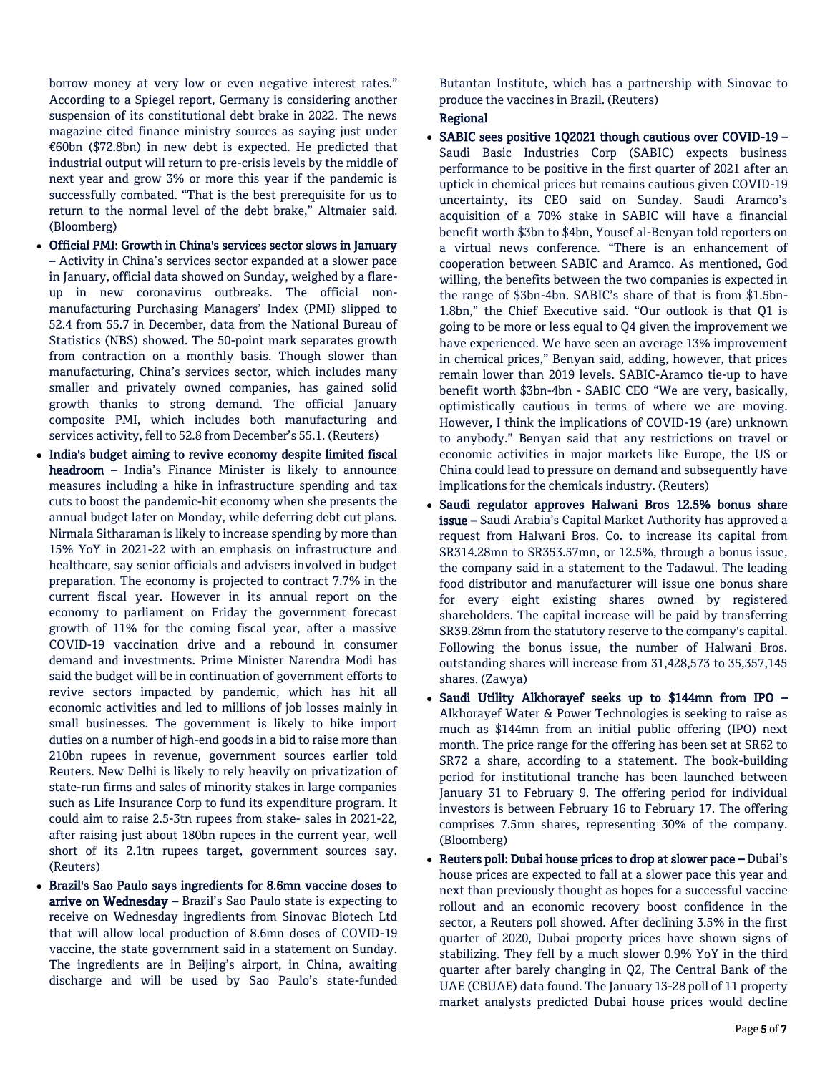borrow money at very low or even negative interest rates." According to a Spiegel report, Germany is considering another suspension of its constitutional debt brake in 2022. The news magazine cited finance ministry sources as saying just under €60bn (\$72.8bn) in new debt is expected. He predicted that industrial output will return to pre-crisis levels by the middle of next year and grow 3% or more this year if the pandemic is successfully combated. "That is the best prerequisite for us to return to the normal level of the debt brake," Altmaier said. (Bloomberg)

- Official PMI: Growth in China's services sector slows in January – Activity in China's services sector expanded at a slower pace in January, official data showed on Sunday, weighed by a flareup in new coronavirus outbreaks. The official nonmanufacturing Purchasing Managers' Index (PMI) slipped to 52.4 from 55.7 in December, data from the National Bureau of Statistics (NBS) showed. The 50-point mark separates growth from contraction on a monthly basis. Though slower than manufacturing, China's services sector, which includes many smaller and privately owned companies, has gained solid growth thanks to strong demand. The official January composite PMI, which includes both manufacturing and services activity, fell to 52.8 from December's 55.1. (Reuters)
- India's budget aiming to revive economy despite limited fiscal headroom – India's Finance Minister is likely to announce measures including a hike in infrastructure spending and tax cuts to boost the pandemic-hit economy when she presents the annual budget later on Monday, while deferring debt cut plans. Nirmala Sitharaman is likely to increase spending by more than 15% YoY in 2021-22 with an emphasis on infrastructure and healthcare, say senior officials and advisers involved in budget preparation. The economy is projected to contract 7.7% in the current fiscal year. However in its annual report on the economy to parliament on Friday the government forecast growth of 11% for the coming fiscal year, after a massive COVID-19 vaccination drive and a rebound in consumer demand and investments. Prime Minister Narendra Modi has said the budget will be in continuation of government efforts to revive sectors impacted by pandemic, which has hit all economic activities and led to millions of job losses mainly in small businesses. The government is likely to hike import duties on a number of high-end goods in a bid to raise more than 210bn rupees in revenue, government sources earlier told Reuters. New Delhi is likely to rely heavily on privatization of state-run firms and sales of minority stakes in large companies such as Life Insurance Corp to fund its expenditure program. It could aim to raise 2.5-3tn rupees from stake- sales in 2021-22, after raising just about 180bn rupees in the current year, well short of its 2.1tn rupees target, government sources say. (Reuters)
- Brazil's Sao Paulo says ingredients for 8.6mn vaccine doses to arrive on Wednesday - Brazil's Sao Paulo state is expecting to receive on Wednesday ingredients from Sinovac Biotech Ltd that will allow local production of 8.6mn doses of COVID-19 vaccine, the state government said in a statement on Sunday. The ingredients are in Beijing's airport, in China, awaiting discharge and will be used by Sao Paulo's state-funded

Butantan Institute, which has a partnership with Sinovac to produce the vaccines in Brazil. (Reuters)

# Regional

- SABIC sees positive 1Q2021 though cautious over COVID-19 Saudi Basic Industries Corp (SABIC) expects business performance to be positive in the first quarter of 2021 after an uptick in chemical prices but remains cautious given COVID-19 uncertainty, its CEO said on Sunday. Saudi Aramco's acquisition of a 70% stake in SABIC will have a financial benefit worth \$3bn to \$4bn, Yousef al-Benyan told reporters on a virtual news conference. "There is an enhancement of cooperation between SABIC and Aramco. As mentioned, God willing, the benefits between the two companies is expected in the range of \$3bn-4bn. SABIC's share of that is from \$1.5bn-1.8bn," the Chief Executive said. "Our outlook is that Q1 is going to be more or less equal to Q4 given the improvement we have experienced. We have seen an average 13% improvement in chemical prices," Benyan said, adding, however, that prices remain lower than 2019 levels. SABIC-Aramco tie-up to have benefit worth \$3bn-4bn - SABIC CEO "We are very, basically, optimistically cautious in terms of where we are moving. However, I think the implications of COVID-19 (are) unknown to anybody." Benyan said that any restrictions on travel or economic activities in major markets like Europe, the US or China could lead to pressure on demand and subsequently have implications for the chemicals industry. (Reuters)
- Saudi regulator approves Halwani Bros 12.5% bonus share issue – Saudi Arabia's Capital Market Authority has approved a request from Halwani Bros. Co. to increase its capital from SR314.28mn to SR353.57mn, or 12.5%, through a bonus issue, the company said in a statement to the Tadawul. The leading food distributor and manufacturer will issue one bonus share for every eight existing shares owned by registered shareholders. The capital increase will be paid by transferring SR39.28mn from the statutory reserve to the company's capital. Following the bonus issue, the number of Halwani Bros. outstanding shares will increase from 31,428,573 to 35,357,145 shares. (Zawya)
- Saudi Utility Alkhorayef seeks up to \$144mn from IPO Alkhorayef Water & Power Technologies is seeking to raise as much as \$144mn from an initial public offering (IPO) next month. The price range for the offering has been set at SR62 to SR72 a share, according to a statement. The book-building period for institutional tranche has been launched between January 31 to February 9. The offering period for individual investors is between February 16 to February 17. The offering comprises 7.5mn shares, representing 30% of the company. (Bloomberg)
- Reuters poll: Dubai house prices to drop at slower pace Dubai's house prices are expected to fall at a slower pace this year and next than previously thought as hopes for a successful vaccine rollout and an economic recovery boost confidence in the sector, a Reuters poll showed. After declining 3.5% in the first quarter of 2020, Dubai property prices have shown signs of stabilizing. They fell by a much slower 0.9% YoY in the third quarter after barely changing in Q2, The Central Bank of the UAE (CBUAE) data found. The January 13-28 poll of 11 property market analysts predicted Dubai house prices would decline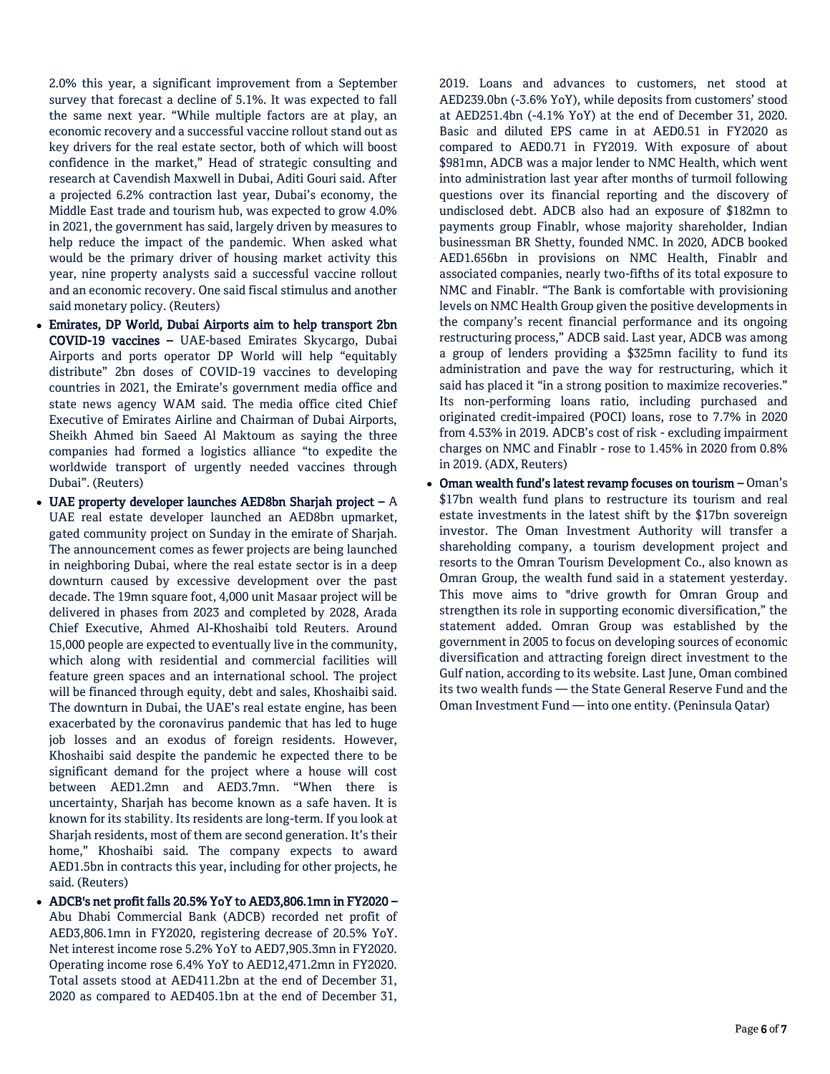2.0% this year, a significant improvement from a September survey that forecast a decline of 5.1%. It was expected to fall the same next year. "While multiple factors are at play, an economic recovery and a successful vaccine rollout stand out as key drivers for the real estate sector, both of which will boost confidence in the market," Head of strategic consulting and research at Cavendish Maxwell in Dubai, Aditi Gouri said. After a projected 6.2% contraction last year, Dubai's economy, the Middle East trade and tourism hub, was expected to grow 4.0% in 2021, the government has said, largely driven by measures to help reduce the impact of the pandemic. When asked what would be the primary driver of housing market activity this year, nine property analysts said a successful vaccine rollout and an economic recovery. One said fiscal stimulus and another said monetary policy. (Reuters)

- Emirates, DP World, Dubai Airports aim to help transport 2bn COVID-19 vaccines – UAE-based Emirates Skycargo, Dubai Airports and ports operator DP World will help "equitably distribute" 2bn doses of COVID-19 vaccines to developing countries in 2021, the Emirate's government media office and state news agency WAM said. The media office cited Chief Executive of Emirates Airline and Chairman of Dubai Airports, Sheikh Ahmed bin Saeed Al Maktoum as saying the three companies had formed a logistics alliance "to expedite the worldwide transport of urgently needed vaccines through Dubai". (Reuters)
- UAE property developer launches AED8bn Sharjah project  $A$ UAE real estate developer launched an AED8bn upmarket, gated community project on Sunday in the emirate of Sharjah. The announcement comes as fewer projects are being launched in neighboring Dubai, where the real estate sector is in a deep downturn caused by excessive development over the past decade. The 19mn square foot, 4,000 unit Masaar project will be delivered in phases from 2023 and completed by 2028, Arada Chief Executive, Ahmed Al-Khoshaibi told Reuters. Around 15,000 people are expected to eventually live in the community, which along with residential and commercial facilities will feature green spaces and an international school. The project will be financed through equity, debt and sales, Khoshaibi said. The downturn in Dubai, the UAE's real estate engine, has been exacerbated by the coronavirus pandemic that has led to huge job losses and an exodus of foreign residents. However, Khoshaibi said despite the pandemic he expected there to be significant demand for the project where a house will cost between AED1.2mn and AED3.7mn. "When there is uncertainty, Sharjah has become known as a safe haven. It is known for its stability. Its residents are long-term. If you look at Sharjah residents, most of them are second generation. It's their home," Khoshaibi said. The company expects to award AED1.5bn in contracts this year, including for other projects, he said. (Reuters)
- ADCB's net profit falls 20.5% YoY to AED3,806.1mn in FY2020 Abu Dhabi Commercial Bank (ADCB) recorded net profit of AED3,806.1mn in FY2020, registering decrease of 20.5% YoY. Net interest income rose 5.2% YoY to AED7,905.3mn in FY2020. Operating income rose 6.4% YoY to AED12,471.2mn in FY2020. Total assets stood at AED411.2bn at the end of December 31, 2020 as compared to AED405.1bn at the end of December 31,

2019. Loans and advances to customers, net stood at AED239.0bn (-3.6% YoY), while deposits from customers' stood at AED251.4bn (-4.1% YoY) at the end of December 31, 2020. Basic and diluted EPS came in at AED0.51 in FY2020 as compared to AED0.71 in FY2019. With exposure of about \$981mn, ADCB was a major lender to NMC Health, which went into administration last year after months of turmoil following questions over its financial reporting and the discovery of undisclosed debt. ADCB also had an exposure of \$182mn to payments group Finablr, whose majority shareholder, Indian businessman BR Shetty, founded NMC. In 2020, ADCB booked AED1.656bn in provisions on NMC Health, Finablr and associated companies, nearly two-fifths of its total exposure to NMC and Finablr. "The Bank is comfortable with provisioning levels on NMC Health Group given the positive developments in the company's recent financial performance and its ongoing restructuring process," ADCB said. Last year, ADCB was among a group of lenders providing a \$325mn facility to fund its administration and pave the way for restructuring, which it said has placed it "in a strong position to maximize recoveries." Its non-performing loans ratio, including purchased and originated credit-impaired (POCI) loans, rose to 7.7% in 2020 from 4.53% in 2019. ADCB's cost of risk - excluding impairment charges on NMC and Finablr - rose to 1.45% in 2020 from 0.8% in 2019. (ADX, Reuters)

 Oman wealth fund's latest revamp focuses on tourism – Oman's \$17bn wealth fund plans to restructure its tourism and real estate investments in the latest shift by the \$17bn sovereign investor. The Oman Investment Authority will transfer a shareholding company, a tourism development project and resorts to the Omran Tourism Development Co., also known as Omran Group, the wealth fund said in a statement yesterday. This move aims to "drive growth for Omran Group and strengthen its role in supporting economic diversification," the statement added. Omran Group was established by the government in 2005 to focus on developing sources of economic diversification and attracting foreign direct investment to the Gulf nation, according to its website. Last June, Oman combined its two wealth funds — the State General Reserve Fund and the Oman Investment Fund — into one entity. (Peninsula Qatar)